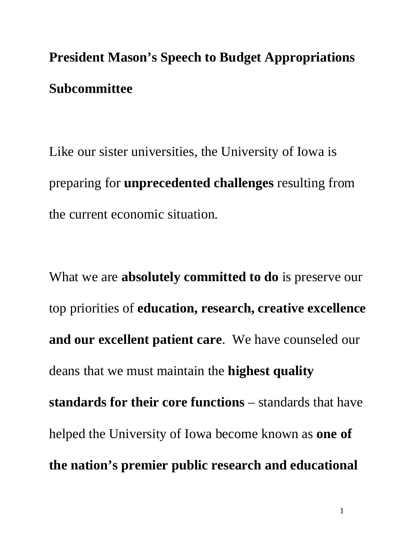**President Mason's Speech to Budget Appropriations Subcommittee** 

Like our sister universities, the University of Iowa is preparing for **unprecedented challenges** resulting from the current economic situation.

What we are **absolutely committed to do** is preserve our top priorities of **education, research, creative excellence and our excellent patient care**. We have counseled our deans that we must maintain the **highest quality standards for their core functions** – standards that have helped the University of Iowa become known as **one of the nation's premier public research and educational**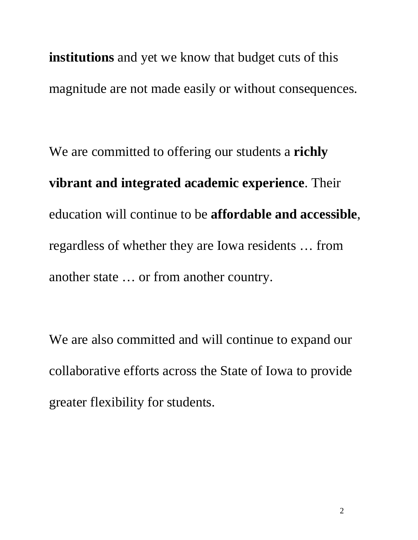**institutions** and yet we know that budget cuts of this magnitude are not made easily or without consequences.

We are committed to offering our students a **richly vibrant and integrated academic experience**. Their education will continue to be **affordable and accessible**, regardless of whether they are Iowa residents … from another state … or from another country.

We are also committed and will continue to expand our collaborative efforts across the State of Iowa to provide greater flexibility for students.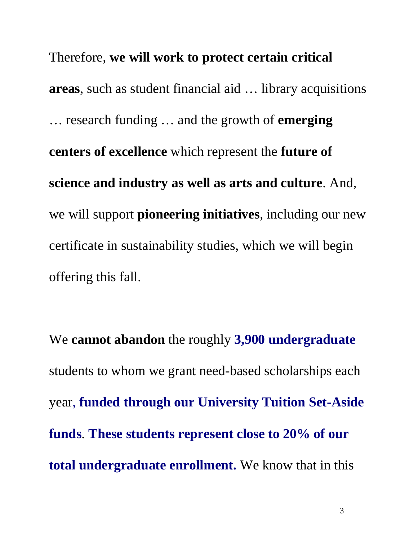Therefore, **we will work to protect certain critical areas**, such as student financial aid … library acquisitions … research funding … and the growth of **emerging centers of excellence** which represent the **future of science and industry as well as arts and culture**. And, we will support **pioneering initiatives**, including our new certificate in sustainability studies, which we will begin offering this fall.

We **cannot abandon** the roughly **3,900 undergraduate** students to whom we grant need-based scholarships each year, **funded through our University Tuition Set-Aside funds**. **These students represent close to 20% of our total undergraduate enrollment.** We know that in this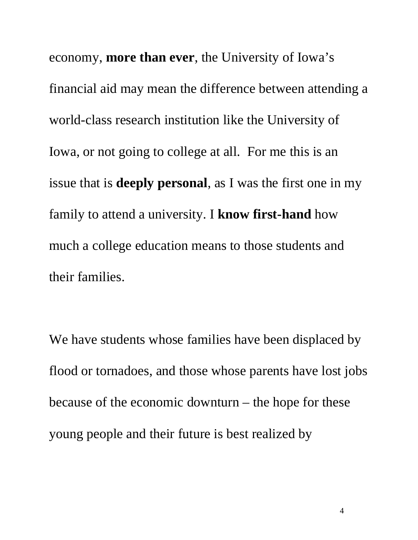economy, **more than ever**, the University of Iowa's financial aid may mean the difference between attending a world-class research institution like the University of Iowa, or not going to college at all. For me this is an issue that is **deeply personal**, as I was the first one in my family to attend a university. I **know first-hand** how much a college education means to those students and their families.

We have students whose families have been displaced by flood or tornadoes, and those whose parents have lost jobs because of the economic downturn – the hope for these young people and their future is best realized by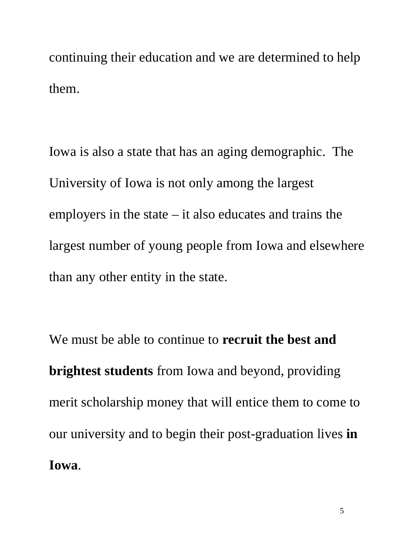continuing their education and we are determined to help them.

Iowa is also a state that has an aging demographic. The University of Iowa is not only among the largest employers in the state – it also educates and trains the largest number of young people from Iowa and elsewhere than any other entity in the state.

We must be able to continue to **recruit the best and brightest students** from Iowa and beyond, providing merit scholarship money that will entice them to come to our university and to begin their post-graduation lives **in Iowa**.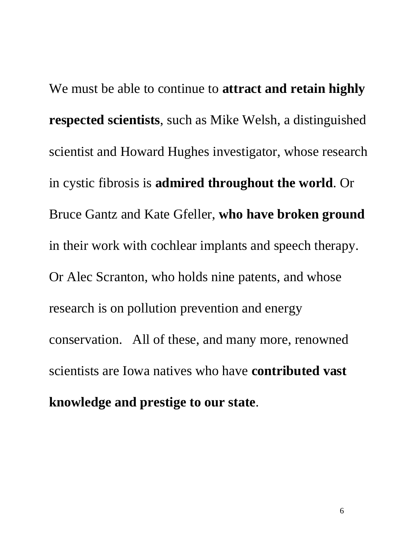We must be able to continue to **attract and retain highly respected scientists**, such as Mike Welsh, a distinguished scientist and Howard Hughes investigator, whose research in cystic fibrosis is **admired throughout the world**. Or Bruce Gantz and Kate Gfeller, **who have broken ground** in their work with cochlear implants and speech therapy. Or Alec Scranton, who holds nine patents, and whose research is on pollution prevention and energy conservation. All of these, and many more, renowned scientists are Iowa natives who have **contributed vast knowledge and prestige to our state**.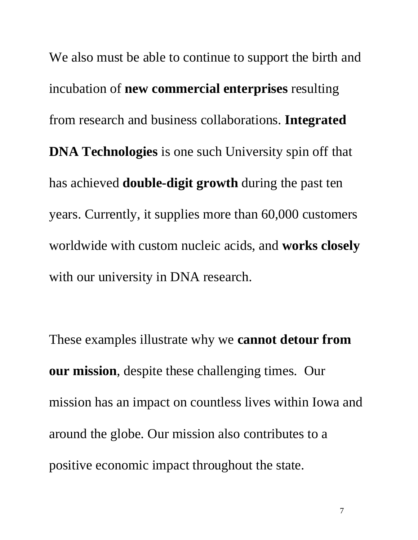We also must be able to continue to support the birth and incubation of **new commercial enterprises** resulting from research and business collaborations. **Integrated DNA Technologies** is one such University spin off that has achieved **double-digit growth** during the past ten years. Currently, it supplies more than 60,000 customers worldwide with custom nucleic acids, and **works closely** with our university in DNA research.

These examples illustrate why we **cannot detour from our mission**, despite these challenging times. Our mission has an impact on countless lives within Iowa and around the globe. Our mission also contributes to a positive economic impact throughout the state.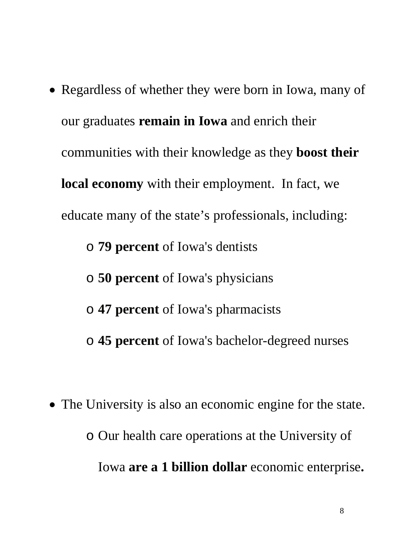• Regardless of whether they were born in Iowa, many of our graduates **remain in Iowa** and enrich their communities with their knowledge as they **boost their local economy** with their employment. In fact, we educate many of the state's professionals, including: o **79 percent** of Iowa's dentists o **50 percent** of Iowa's physicians o **47 percent** of Iowa's pharmacists

• The University is also an economic engine for the state. o Our health care operations at the University of Iowa **are a 1 billion dollar** economic enterprise**.**

o **45 percent** of Iowa's bachelor-degreed nurses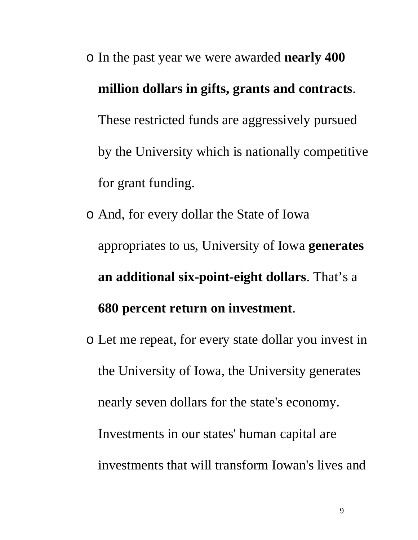## o In the past year we were awarded **nearly 400 million dollars in gifts, grants and contracts**. These restricted funds are aggressively pursued by the University which is nationally competitive for grant funding.

- o And, for every dollar the State of Iowa appropriates to us, University of Iowa **generates an additional six-point-eight dollars**. That's a **680 percent return on investment**.
- o Let me repeat, for every state dollar you invest in the University of Iowa, the University generates nearly seven dollars for the state's economy. Investments in our states' human capital are investments that will transform Iowan's lives and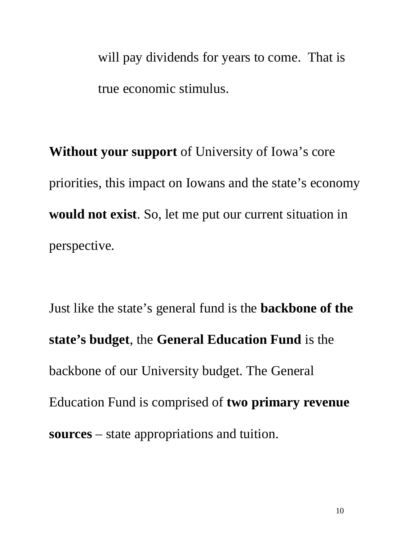will pay dividends for years to come. That is true economic stimulus.

**Without your support** of University of Iowa's core priorities, this impact on Iowans and the state's economy **would not exist**. So, let me put our current situation in perspective.

Just like the state's general fund is the **backbone of the state's budget**, the **General Education Fund** is the backbone of our University budget. The General Education Fund is comprised of **two primary revenue sources** – state appropriations and tuition.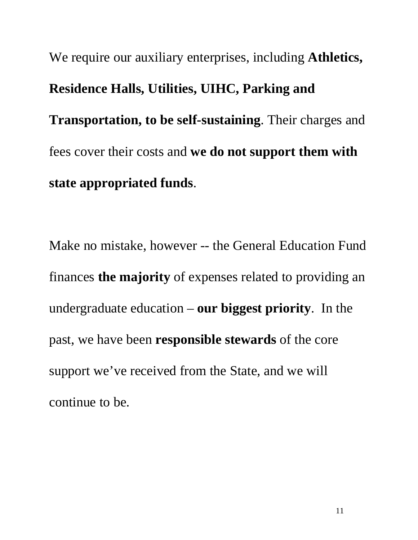We require our auxiliary enterprises, including **Athletics, Residence Halls, Utilities, UIHC, Parking and Transportation, to be self-sustaining**. Their charges and fees cover their costs and **we do not support them with state appropriated funds**.

Make no mistake, however -- the General Education Fund finances **the majority** of expenses related to providing an undergraduate education – **our biggest priority**. In the past, we have been **responsible stewards** of the core support we've received from the State, and we will continue to be.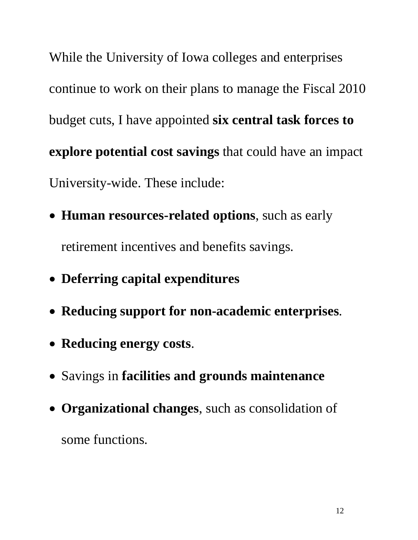While the University of Iowa colleges and enterprises continue to work on their plans to manage the Fiscal 2010 budget cuts, I have appointed **six central task forces to explore potential cost savings** that could have an impact University-wide. These include:

- **Human resources-related options**, such as early retirement incentives and benefits savings.
- **Deferring capital expenditures**
- **Reducing support for non-academic enterprises**.
- **Reducing energy costs**.
- Savings in **facilities and grounds maintenance**
- **Organizational changes**, such as consolidation of some functions.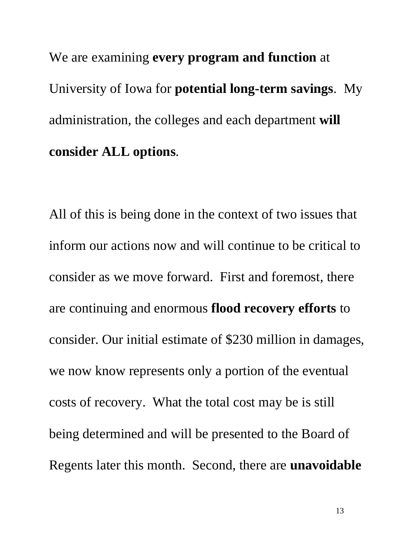We are examining **every program and function** at University of Iowa for **potential long-term savings**. My administration, the colleges and each department **will consider ALL options**.

All of this is being done in the context of two issues that inform our actions now and will continue to be critical to consider as we move forward. First and foremost, there are continuing and enormous **flood recovery efforts** to consider. Our initial estimate of \$230 million in damages, we now know represents only a portion of the eventual costs of recovery. What the total cost may be is still being determined and will be presented to the Board of Regents later this month. Second, there are **unavoidable**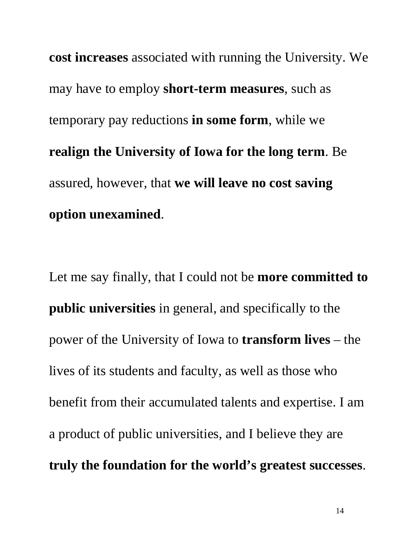**cost increases** associated with running the University. We may have to employ **short-term measures**, such as temporary pay reductions **in some form**, while we **realign the University of Iowa for the long term**. Be assured, however, that **we will leave no cost saving option unexamined**.

Let me say finally, that I could not be **more committed to public universities** in general, and specifically to the power of the University of Iowa to **transform lives** – the lives of its students and faculty, as well as those who benefit from their accumulated talents and expertise. I am a product of public universities, and I believe they are **truly the foundation for the world's greatest successes**.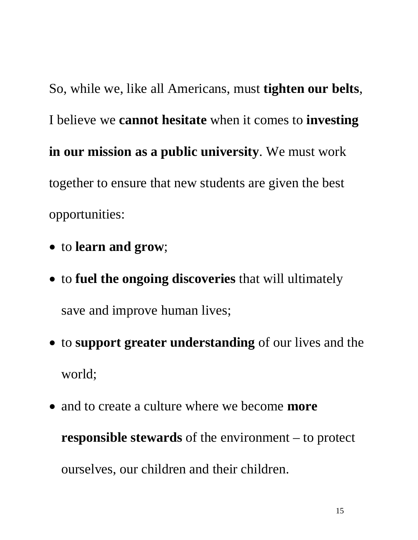So, while we, like all Americans, must **tighten our belts**, I believe we **cannot hesitate** when it comes to **investing in our mission as a public university**. We must work together to ensure that new students are given the best opportunities:

- to **learn and grow**;
- to **fuel the ongoing discoveries** that will ultimately save and improve human lives;
- to **support greater understanding** of our lives and the world;
- and to create a culture where we become **more responsible stewards** of the environment – to protect ourselves, our children and their children.